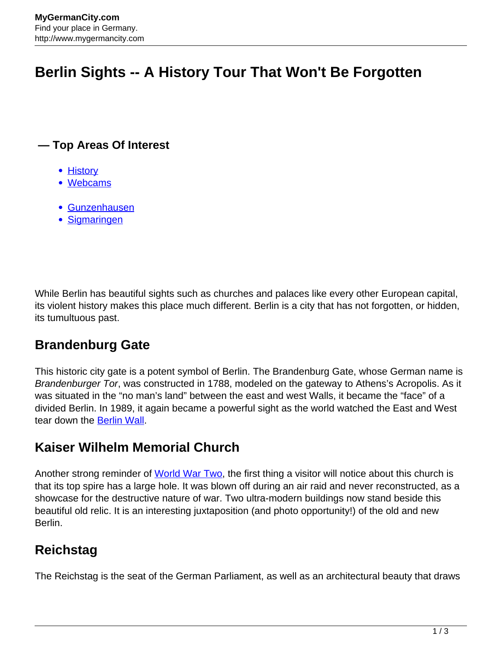# **Berlin Sights -- A History Tour That Won't Be Forgotten**

#### **— Top Areas Of Interest**

- [History](http://www.mygermancity.com/leipzig-history)
- [Webcams](http://www.mygermancity.com/neustadt-holstein-webcams)
- [Gunzenhausen](http://www.mygermancity.com/gunzenhausen)
- [Sigmaringen](http://www.mygermancity.com/sigmaringen)

While Berlin has beautiful sights such as churches and palaces like every other European capital, its violent history makes this place much different. Berlin is a city that has not forgotten, or hidden, its tumultuous past.

# **Brandenburg Gate**

This historic city gate is a potent symbol of Berlin. The Brandenburg Gate, whose German name is Brandenburger Tor, was constructed in 1788, modeled on the gateway to Athens's Acropolis. As it was situated in the "no man's land" between the east and west Walls, it became the "face" of a divided Berlin. In 1989, it again became a powerful sight as the world watched the East and West tear down the [Berlin Wall.](http://www.mygermancity.com/berlin-wall)

#### **Kaiser Wilhelm Memorial Church**

Another strong reminder of [World War Two](http://www.mygermancity.com/world-war-ii), the first thing a visitor will notice about this church is that its top spire has a large hole. It was blown off during an air raid and never reconstructed, as a showcase for the destructive nature of war. Two ultra-modern buildings now stand beside this beautiful old relic. It is an interesting juxtaposition (and photo opportunity!) of the old and new Berlin.

# **Reichstag**

The Reichstag is the seat of the German Parliament, as well as an architectural beauty that draws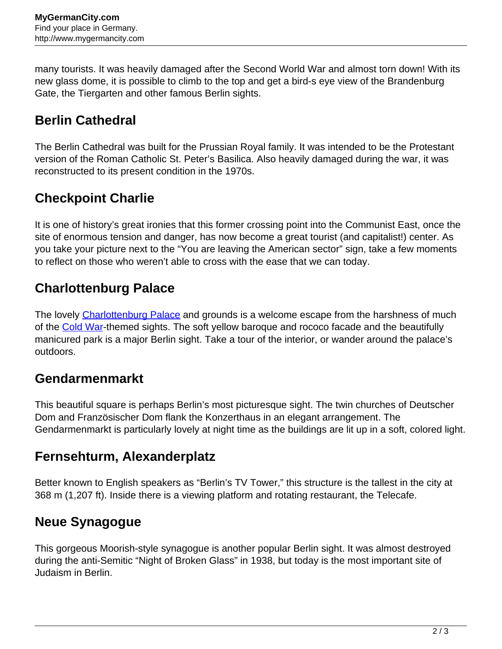many tourists. It was heavily damaged after the Second World War and almost torn down! With its new glass dome, it is possible to climb to the top and get a bird-s eye view of the Brandenburg Gate, the Tiergarten and other famous Berlin sights.

### **Berlin Cathedral**

The Berlin Cathedral was built for the Prussian Royal family. It was intended to be the Protestant version of the Roman Catholic St. Peter's Basilica. Also heavily damaged during the war, it was reconstructed to its present condition in the 1970s.

### **Checkpoint Charlie**

It is one of history's great ironies that this former crossing point into the Communist East, once the site of enormous tension and danger, has now become a great tourist (and capitalist!) center. As you take your picture next to the "You are leaving the American sector" sign, take a few moments to reflect on those who weren't able to cross with the ease that we can today.

#### **Charlottenburg Palace**

The lovely [Charlottenburg Palace](http://www.mygermancity.com/charlottenburg-palace) and grounds is a welcome escape from the harshness of much of the [Cold War-](http://www.mygermancity.com/cold-war)themed sights. The soft yellow baroque and rococo facade and the beautifully manicured park is a major Berlin sight. Take a tour of the interior, or wander around the palace's outdoors.

#### **Gendarmenmarkt**

This beautiful square is perhaps Berlin's most picturesque sight. The twin churches of Deutscher Dom and Französischer Dom flank the Konzerthaus in an elegant arrangement. The Gendarmenmarkt is particularly lovely at night time as the buildings are lit up in a soft, colored light.

### **Fernsehturm, Alexanderplatz**

Better known to English speakers as "Berlin's TV Tower," this structure is the tallest in the city at 368 m (1,207 ft). Inside there is a viewing platform and rotating restaurant, the Telecafe.

### **Neue Synagogue**

This gorgeous Moorish-style synagogue is another popular Berlin sight. It was almost destroyed during the anti-Semitic "Night of Broken Glass" in 1938, but today is the most important site of Judaism in Berlin.